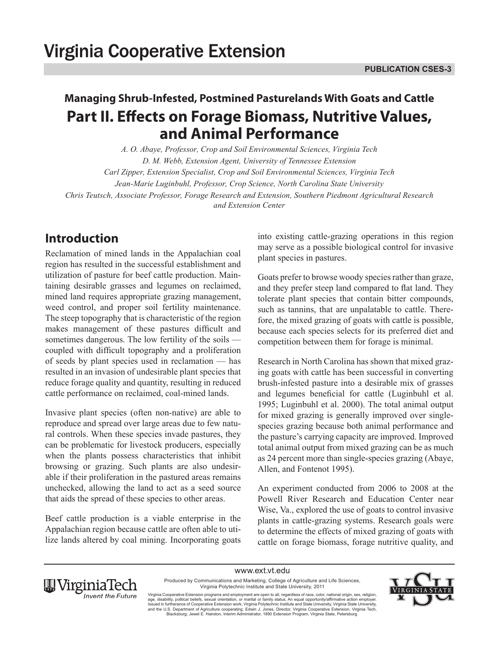# **Managing Shrub-Infested, Postmined Pasturelands With Goats and Cattle Part II. Effects on Forage Biomass, Nutritive Values, and Animal Performance**

*A. O. Abaye, Professor, Crop and Soil Environmental Sciences, Virginia Tech D. M. Webb, Extension Agent, University of Tennessee Extension Carl Zipper, Extension Specialist, Crop and Soil Environmental Sciences, Virginia Tech Jean-Marie Luginbuhl, Professor, Crop Science, North Carolina State University Chris Teutsch, Associate Professor, Forage Research and Extension, Southern Piedmont Agricultural Research and Extension Center*

## **Introduction**

Reclamation of mined lands in the Appalachian coal region has resulted in the successful establishment and utilization of pasture for beef cattle production. Maintaining desirable grasses and legumes on reclaimed, mined land requires appropriate grazing management, weed control, and proper soil fertility maintenance. The steep topography that is characteristic of the region makes management of these pastures difficult and sometimes dangerous. The low fertility of the soils coupled with difficult topography and a proliferation of seeds by plant species used in reclamation — has resulted in an invasion of undesirable plant species that reduce forage quality and quantity, resulting in reduced cattle performance on reclaimed, coal-mined lands.

Invasive plant species (often non-native) are able to reproduce and spread over large areas due to few natural controls. When these species invade pastures, they can be problematic for livestock producers, especially when the plants possess characteristics that inhibit browsing or grazing. Such plants are also undesirable if their proliferation in the pastured areas remains unchecked, allowing the land to act as a seed source that aids the spread of these species to other areas.

Beef cattle production is a viable enterprise in the Appalachian region because cattle are often able to utilize lands altered by coal mining. Incorporating goats into existing cattle-grazing operations in this region may serve as a possible biological control for invasive plant species in pastures.

Goats prefer to browse woody species rather than graze, and they prefer steep land compared to flat land. They tolerate plant species that contain bitter compounds, such as tannins, that are unpalatable to cattle. Therefore, the mixed grazing of goats with cattle is possible, because each species selects for its preferred diet and competition between them for forage is minimal.

Research in North Carolina has shown that mixed grazing goats with cattle has been successful in converting brush-infested pasture into a desirable mix of grasses and legumes beneficial for cattle (Luginbuhl et al. 1995; Luginbuhl et al. 2000). The total animal output for mixed grazing is generally improved over singlespecies grazing because both animal performance and the pasture's carrying capacity are improved. Improved total animal output from mixed grazing can be as much as 24 percent more than single-species grazing (Abaye, Allen, and Fontenot 1995).

An experiment conducted from 2006 to 2008 at the Powell River Research and Education Center near Wise, Va., explored the use of goats to control invasive plants in cattle-grazing systems. Research goals were to determine the effects of mixed grazing of goats with cattle on forage biomass, forage nutritive quality, and

www.ext.vt.edu



1 Blacksburg; Jewel E. Hairston, Interim Administrator, 1890 Extension Program, Virginia State, Petersburg. Produced by Communications and Marketing, College of Agriculture and Life Sciences, Virginia Polytechnic Institute and State University, 2011 Virginia Cooperative Extension programs and employment are open to all, regardless of race, color, national origin, sex, religion,<br>age, disability, political beliefs, sexual orientation, or marital or family status. An equ and the U.S. Department of Agriculture cooperating. Edwin J. Jones, Director, Virginia Cooperative Extension, Virginia Tech,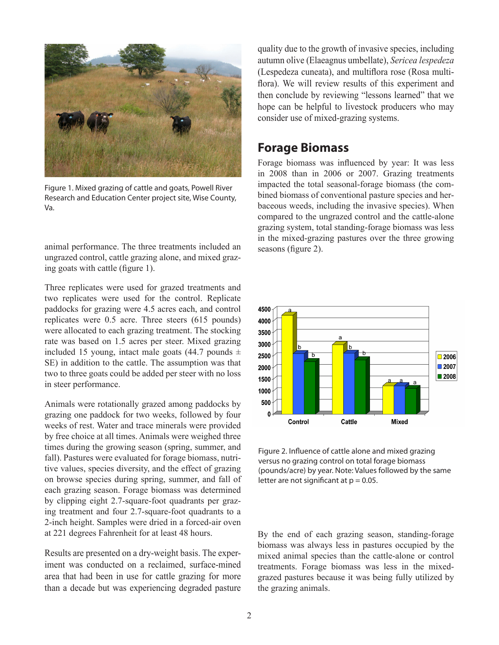

Figure 1. Mixed grazing of cattle and goats, Powell River Research and Education Center project site, Wise County, Va.

animal performance. The three treatments included an ungrazed control, cattle grazing alone, and mixed grazing goats with cattle (figure 1).

Three replicates were used for grazed treatments and two replicates were used for the control. Replicate paddocks for grazing were 4.5 acres each, and control replicates were 0.5 acre. Three steers (615 pounds) were allocated to each grazing treatment. The stocking rate was based on 1.5 acres per steer. Mixed grazing included 15 young, intact male goats (44.7 pounds  $\pm$ SE) in addition to the cattle. The assumption was that two to three goats could be added per steer with no loss in steer performance.

Animals were rotationally grazed among paddocks by grazing one paddock for two weeks, followed by four weeks of rest. Water and trace minerals were provided by free choice at all times. Animals were weighed three times during the growing season (spring, summer, and fall). Pastures were evaluated for forage biomass, nutritive values, species diversity, and the effect of grazing on browse species during spring, summer, and fall of each grazing season. Forage biomass was determined by clipping eight 2.7-square-foot quadrants per grazing treatment and four 2.7-square-foot quadrants to a 2-inch height. Samples were dried in a forced-air oven at 221 degrees Fahrenheit for at least 48 hours.

Results are presented on a dry-weight basis. The experiment was conducted on a reclaimed, surface-mined area that had been in use for cattle grazing for more than a decade but was experiencing degraded pasture quality due to the growth of invasive species, including autumn olive (Elaeagnus umbellate), *Sericea lespedeza* (Lespedeza cuneata), and multiflora rose (Rosa multiflora). We will review results of this experiment and then conclude by reviewing "lessons learned" that we hope can be helpful to livestock producers who may consider use of mixed-grazing systems.

#### **Forage Biomass**

Forage biomass was influenced by year: It was less in 2008 than in 2006 or 2007. Grazing treatments impacted the total seasonal-forage biomass (the combined biomass of conventional pasture species and herbaceous weeds, including the invasive species). When compared to the ungrazed control and the cattle-alone grazing system, total standing-forage biomass was less in the mixed-grazing pastures over the three growing seasons (figure 2).



Figure 2. Influence of cattle alone and mixed grazing versus no grazing control on total forage biomass (pounds/acre) by year. Note: Values followed by the same letter are not significant at  $p = 0.05$ .

By the end of each grazing season, standing-forage biomass was always less in pastures occupied by the mixed animal species than the cattle-alone or control treatments. Forage biomass was less in the mixedgrazed pastures because it was being fully utilized by the grazing animals.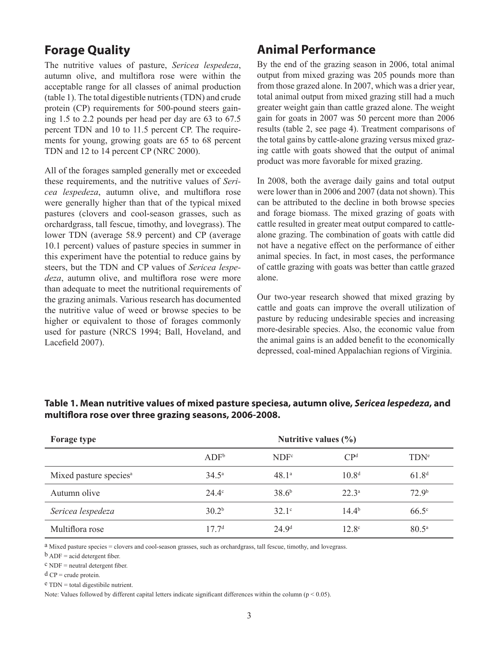### **Forage Quality**

The nutritive values of pasture, *Sericea lespedeza*, autumn olive, and multiflora rose were within the acceptable range for all classes of animal production (table 1). The total digestible nutrients (TDN) and crude protein (CP) requirements for 500-pound steers gaining 1.5 to 2.2 pounds per head per day are 63 to 67.5 percent TDN and 10 to 11.5 percent CP. The requirements for young, growing goats are 65 to 68 percent TDN and 12 to 14 percent CP (NRC 2000).

All of the forages sampled generally met or exceeded these requirements, and the nutritive values of *Sericea lespedeza*, autumn olive, and multiflora rose were generally higher than that of the typical mixed pastures (clovers and cool-season grasses, such as orchardgrass, tall fescue, timothy, and lovegrass). The lower TDN (average 58.9 percent) and CP (average 10.1 percent) values of pasture species in summer in this experiment have the potential to reduce gains by steers, but the TDN and CP values of *Sericea lespedeza*, autumn olive, and multiflora rose were more than adequate to meet the nutritional requirements of the grazing animals. Various research has documented the nutritive value of weed or browse species to be higher or equivalent to those of forages commonly used for pasture (NRCS 1994; Ball, Hoveland, and Lacefield 2007).

### **Animal Performance**

By the end of the grazing season in 2006, total animal output from mixed grazing was 205 pounds more than from those grazed alone. In 2007, which was a drier year, total animal output from mixed grazing still had a much greater weight gain than cattle grazed alone. The weight gain for goats in 2007 was 50 percent more than 2006 results (table 2, see page 4). Treatment comparisons of the total gains by cattle-alone grazing versus mixed grazing cattle with goats showed that the output of animal product was more favorable for mixed grazing.

In 2008, both the average daily gains and total output were lower than in 2006 and 2007 (data not shown). This can be attributed to the decline in both browse species and forage biomass. The mixed grazing of goats with cattle resulted in greater meat output compared to cattlealone grazing. The combination of goats with cattle did not have a negative effect on the performance of either animal species. In fact, in most cases, the performance of cattle grazing with goats was better than cattle grazed alone.

Our two-year research showed that mixed grazing by cattle and goats can improve the overall utilization of pasture by reducing undesirable species and increasing more-desirable species. Also, the economic value from the animal gains is an added benefit to the economically depressed, coal-mined Appalachian regions of Virginia.

| <b>Forage type</b>                 | Nutritive values $(\% )$ |                   |                   |                        |
|------------------------------------|--------------------------|-------------------|-------------------|------------------------|
|                                    | ADF <sup>b</sup>         | NDF <sup>c</sup>  | CP <sup>d</sup>   | <b>TDN<sup>e</sup></b> |
| Mixed pasture species <sup>a</sup> | $34.5^{\circ}$           | $48.1^{\circ}$    | 10.8 <sup>d</sup> | $61.8^{d}$             |
| Autumn olive                       | $24.4^\circ$             | $38.6^{b}$        | 22 <sup>3a</sup>  | 72.9 <sup>b</sup>      |
| Sericea lespedeza                  | 30.2 <sup>b</sup>        | 321c              | $14.4^{b}$        | $66.5^{\circ}$         |
| Multiflora rose                    | 177 <sup>d</sup>         | 24.9 <sup>d</sup> | 12.8 <sup>c</sup> | $80.5^{\circ}$         |

#### **Table 1. Mean nutritive values of mixed pasture speciesa, autumn olive,** *Sericea lespedeza***, and multiflora rose over three grazing seasons, 2006-2008.**

a Mixed pasture species = clovers and cool-season grasses, such as orchardgrass, tall fescue, timothy, and lovegrass.

 $b$  ADF = acid detergent fiber.

 $d$  CP = crude protein.

e TDN = total digestibile nutrient.

Note: Values followed by different capital letters indicate significant differences within the column ( $p < 0.05$ ).

 $c$  NDF = neutral detergent fiber.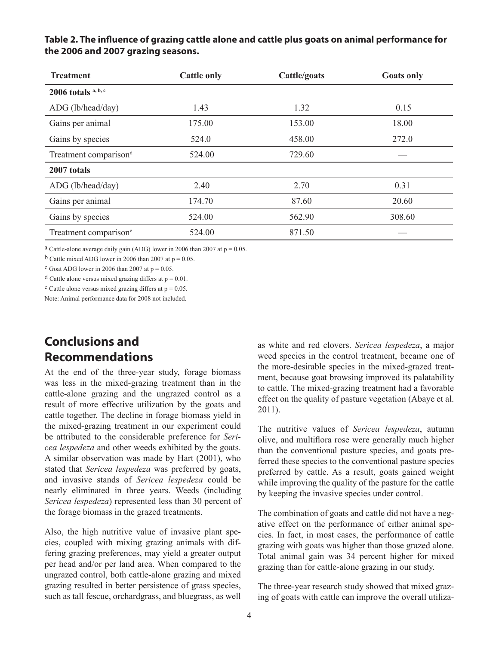| <b>Treatment</b>                  | <b>Cattle only</b> | Cattle/goats | <b>Goats only</b> |
|-----------------------------------|--------------------|--------------|-------------------|
| 2006 totals $a, b, c$             |                    |              |                   |
| ADG (lb/head/day)                 | 1.43               | 1.32         | 0.15              |
| Gains per animal                  | 175.00             | 153.00       | 18.00             |
| Gains by species                  | 524.0              | 458.00       | 272.0             |
| Treatment comparison <sup>d</sup> | 524.00             | 729.60       |                   |
| 2007 totals                       |                    |              |                   |
| ADG (lb/head/day)                 | 2.40               | 2.70         | 0.31              |
| Gains per animal                  | 174.70             | 87.60        | 20.60             |
| Gains by species                  | 524.00             | 562.90       | 308.60            |
| Treatment comparison <sup>e</sup> | 524.00             | 871.50       |                   |

#### **Table 2. The influence of grazing cattle alone and cattle plus goats on animal performance for the 2006 and 2007 grazing seasons.**

a Cattle-alone average daily gain (ADG) lower in 2006 than 2007 at  $p = 0.05$ .

b Cattle mixed ADG lower in 2006 than 2007 at  $p = 0.05$ .

 $c$  Goat ADG lower in 2006 than 2007 at  $p = 0.05$ .

 $d$  Cattle alone versus mixed grazing differs at  $p = 0.01$ .

 $e$  Cattle alone versus mixed grazing differs at  $p = 0.05$ .

Note: Animal performance data for 2008 not included.

## **Conclusions and Recommendations**

At the end of the three-year study, forage biomass was less in the mixed-grazing treatment than in the cattle-alone grazing and the ungrazed control as a result of more effective utilization by the goats and cattle together. The decline in forage biomass yield in the mixed-grazing treatment in our experiment could be attributed to the considerable preference for *Sericea lespedeza* and other weeds exhibited by the goats. A similar observation was made by Hart (2001), who stated that *Sericea lespedeza* was preferred by goats, and invasive stands of *Sericea lespedeza* could be nearly eliminated in three years. Weeds (including *Sericea lespedeza*) represented less than 30 percent of the forage biomass in the grazed treatments.

Also, the high nutritive value of invasive plant species, coupled with mixing grazing animals with differing grazing preferences, may yield a greater output per head and/or per land area. When compared to the ungrazed control, both cattle-alone grazing and mixed grazing resulted in better persistence of grass species, such as tall fescue, orchardgrass, and bluegrass, as well

as white and red clovers. *Sericea lespedeza*, a major weed species in the control treatment, became one of the more-desirable species in the mixed-grazed treatment, because goat browsing improved its palatability to cattle. The mixed-grazing treatment had a favorable effect on the quality of pasture vegetation (Abaye et al. 2011).

The nutritive values of *Sericea lespedeza*, autumn olive, and multiflora rose were generally much higher than the conventional pasture species, and goats preferred these species to the conventional pasture species preferred by cattle. As a result, goats gained weight while improving the quality of the pasture for the cattle by keeping the invasive species under control.

The combination of goats and cattle did not have a negative effect on the performance of either animal species. In fact, in most cases, the performance of cattle grazing with goats was higher than those grazed alone. Total animal gain was 34 percent higher for mixed grazing than for cattle-alone grazing in our study.

The three-year research study showed that mixed grazing of goats with cattle can improve the overall utiliza